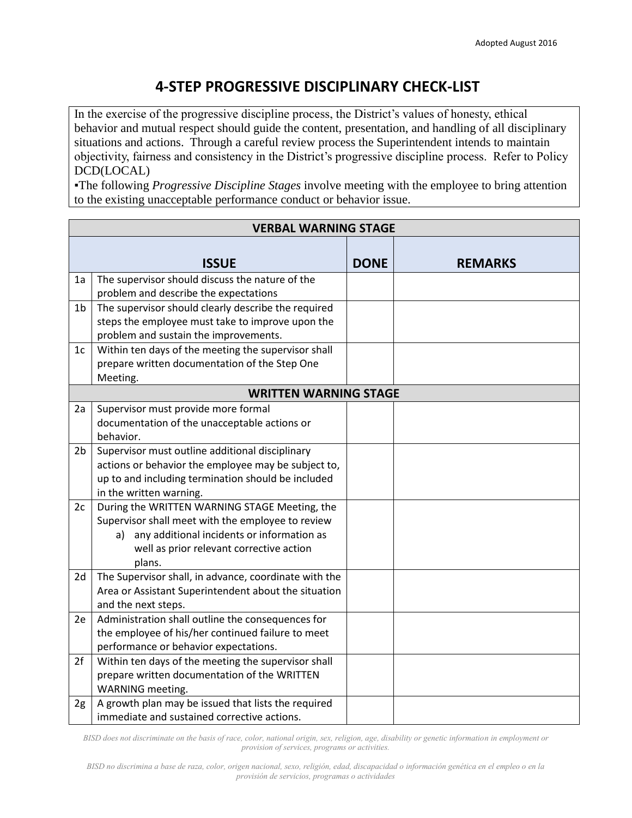## **4-STEP PROGRESSIVE DISCIPLINARY CHECK-LIST**

In the exercise of the progressive discipline process, the District's values of honesty, ethical behavior and mutual respect should guide the content, presentation, and handling of all disciplinary situations and actions. Through a careful review process the Superintendent intends to maintain objectivity, fairness and consistency in the District's progressive discipline process. Refer to Policy DCD(LOCAL)

▪The following *Progressive Discipline Stages* involve meeting with the employee to bring attention to the existing unacceptable performance conduct or behavior issue.

| <b>VERBAL WARNING STAGE</b>  |                                                       |             |                |  |  |
|------------------------------|-------------------------------------------------------|-------------|----------------|--|--|
|                              | <b>ISSUE</b>                                          | <b>DONE</b> | <b>REMARKS</b> |  |  |
| 1a                           | The supervisor should discuss the nature of the       |             |                |  |  |
|                              | problem and describe the expectations                 |             |                |  |  |
| 1 <sub>b</sub>               | The supervisor should clearly describe the required   |             |                |  |  |
|                              | steps the employee must take to improve upon the      |             |                |  |  |
|                              | problem and sustain the improvements.                 |             |                |  |  |
| 1 <sub>c</sub>               | Within ten days of the meeting the supervisor shall   |             |                |  |  |
|                              | prepare written documentation of the Step One         |             |                |  |  |
|                              | Meeting.                                              |             |                |  |  |
| <b>WRITTEN WARNING STAGE</b> |                                                       |             |                |  |  |
| 2a                           | Supervisor must provide more formal                   |             |                |  |  |
|                              | documentation of the unacceptable actions or          |             |                |  |  |
|                              | behavior.                                             |             |                |  |  |
| 2b                           | Supervisor must outline additional disciplinary       |             |                |  |  |
|                              | actions or behavior the employee may be subject to,   |             |                |  |  |
|                              | up to and including termination should be included    |             |                |  |  |
|                              | in the written warning.                               |             |                |  |  |
| 2c                           | During the WRITTEN WARNING STAGE Meeting, the         |             |                |  |  |
|                              | Supervisor shall meet with the employee to review     |             |                |  |  |
|                              | any additional incidents or information as<br>a)      |             |                |  |  |
|                              | well as prior relevant corrective action              |             |                |  |  |
|                              | plans.                                                |             |                |  |  |
| 2d                           | The Supervisor shall, in advance, coordinate with the |             |                |  |  |
|                              | Area or Assistant Superintendent about the situation  |             |                |  |  |
|                              | and the next steps.                                   |             |                |  |  |
| 2e                           | Administration shall outline the consequences for     |             |                |  |  |
|                              | the employee of his/her continued failure to meet     |             |                |  |  |
|                              | performance or behavior expectations.                 |             |                |  |  |
| 2f                           | Within ten days of the meeting the supervisor shall   |             |                |  |  |
|                              | prepare written documentation of the WRITTEN          |             |                |  |  |
|                              | WARNING meeting.                                      |             |                |  |  |
| 2g                           | A growth plan may be issued that lists the required   |             |                |  |  |
|                              | immediate and sustained corrective actions.           |             |                |  |  |

*BISD does not discriminate on the basis of race, color, national origin, sex, religion, age, disability or genetic information in employment or provision of services, programs or activities.*

*BISD no discrimina a base de raza, color, origen nacional, sexo, religión, edad, discapacidad o información genética en el empleo o en la provisión de servicios, programas o actividades*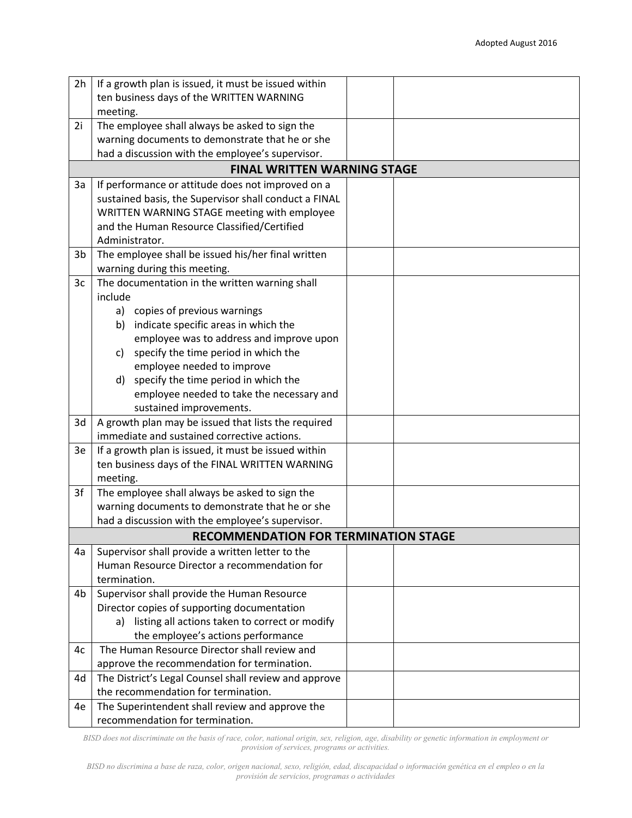| 2h             | If a growth plan is issued, it must be issued within                                   |  |  |  |  |  |  |
|----------------|----------------------------------------------------------------------------------------|--|--|--|--|--|--|
|                | ten business days of the WRITTEN WARNING                                               |  |  |  |  |  |  |
|                | meeting.                                                                               |  |  |  |  |  |  |
| 2i             | The employee shall always be asked to sign the                                         |  |  |  |  |  |  |
|                | warning documents to demonstrate that he or she                                        |  |  |  |  |  |  |
|                | had a discussion with the employee's supervisor.                                       |  |  |  |  |  |  |
|                | <b>FINAL WRITTEN WARNING STAGE</b>                                                     |  |  |  |  |  |  |
| 3a             | If performance or attitude does not improved on a                                      |  |  |  |  |  |  |
|                | sustained basis, the Supervisor shall conduct a FINAL                                  |  |  |  |  |  |  |
|                | WRITTEN WARNING STAGE meeting with employee                                            |  |  |  |  |  |  |
|                | and the Human Resource Classified/Certified                                            |  |  |  |  |  |  |
|                | Administrator.                                                                         |  |  |  |  |  |  |
| 3 <sub>b</sub> | The employee shall be issued his/her final written                                     |  |  |  |  |  |  |
|                | warning during this meeting.                                                           |  |  |  |  |  |  |
| 3c             | The documentation in the written warning shall                                         |  |  |  |  |  |  |
|                | include                                                                                |  |  |  |  |  |  |
|                | a) copies of previous warnings                                                         |  |  |  |  |  |  |
|                | b) indicate specific areas in which the                                                |  |  |  |  |  |  |
|                | employee was to address and improve upon<br>specify the time period in which the<br>C) |  |  |  |  |  |  |
|                | employee needed to improve                                                             |  |  |  |  |  |  |
|                | specify the time period in which the<br>d)                                             |  |  |  |  |  |  |
|                | employee needed to take the necessary and                                              |  |  |  |  |  |  |
|                | sustained improvements.                                                                |  |  |  |  |  |  |
| 3d             | A growth plan may be issued that lists the required                                    |  |  |  |  |  |  |
|                | immediate and sustained corrective actions.                                            |  |  |  |  |  |  |
| 3e             | If a growth plan is issued, it must be issued within                                   |  |  |  |  |  |  |
|                | ten business days of the FINAL WRITTEN WARNING                                         |  |  |  |  |  |  |
|                | meeting.                                                                               |  |  |  |  |  |  |
| 3f             | The employee shall always be asked to sign the                                         |  |  |  |  |  |  |
|                | warning documents to demonstrate that he or she                                        |  |  |  |  |  |  |
|                | had a discussion with the employee's supervisor.                                       |  |  |  |  |  |  |
|                | <b>RECOMMENDATION FOR TERMINATION STAGE</b>                                            |  |  |  |  |  |  |
| 4a             | Supervisor shall provide a written letter to the                                       |  |  |  |  |  |  |
|                | Human Resource Director a recommendation for                                           |  |  |  |  |  |  |
|                | termination.                                                                           |  |  |  |  |  |  |
| 4b             | Supervisor shall provide the Human Resource                                            |  |  |  |  |  |  |
|                | Director copies of supporting documentation                                            |  |  |  |  |  |  |
|                | listing all actions taken to correct or modify<br>a)                                   |  |  |  |  |  |  |
|                | the employee's actions performance                                                     |  |  |  |  |  |  |
| 4c             | The Human Resource Director shall review and                                           |  |  |  |  |  |  |
|                | approve the recommendation for termination.                                            |  |  |  |  |  |  |
| 4d             | The District's Legal Counsel shall review and approve                                  |  |  |  |  |  |  |
|                | the recommendation for termination.                                                    |  |  |  |  |  |  |
| 4e             | The Superintendent shall review and approve the                                        |  |  |  |  |  |  |
|                | recommendation for termination.                                                        |  |  |  |  |  |  |

*BISD does not discriminate on the basis of race, color, national origin, sex, religion, age, disability or genetic information in employment or provision of services, programs or activities.*

*BISD no discrimina a base de raza, color, origen nacional, sexo, religión, edad, discapacidad o información genética en el empleo o en la provisión de servicios, programas o actividades*